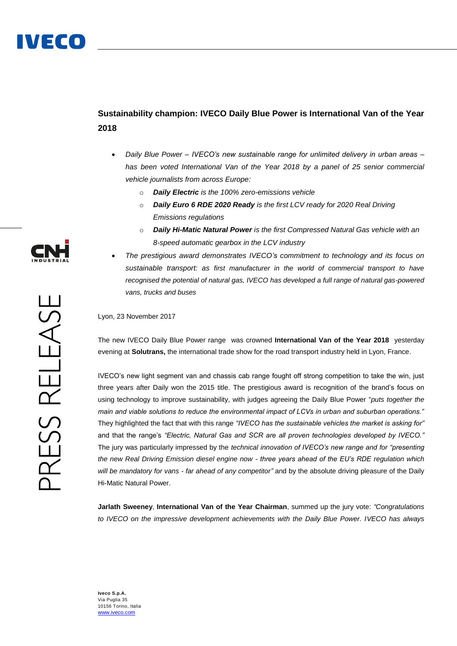## **Sustainability champion: IVECO Daily Blue Power is International Van of the Year 2018**

- *Daily Blue Power – IVECO's new sustainable range for unlimited delivery in urban areas – has been voted International Van of the Year 2018 by a panel of 25 senior commercial vehicle journalists from across Europe:* 
	- o *Daily Electric is the 100% zero-emissions vehicle*
	- o *Daily Euro 6 RDE 2020 Ready is the first LCV ready for 2020 Real Driving Emissions regulations*
	- **Daily Hi-Matic Natural Power** is the first Compressed Natural Gas vehicle with an *8-speed automatic gearbox in the LCV industry*
- *The prestigious award demonstrates IVECO's commitment to technology and its focus on sustainable transport: as first manufacturer in the world of commercial transport to have recognised the potential of natural gas, IVECO has developed a full range of natural gas-powered vans, trucks and buses*

Lyon, 23 November 2017

The new IVECO Daily Blue Power range was crowned **International Van of the Year 2018** yesterday evening at **Solutrans,** the international trade show for the road transport industry held in Lyon, France.

IVECO's new light segment van and chassis cab range fought off strong competition to take the win, just three years after Daily won the 2015 title. The prestigious award is recognition of the brand's focus on using technology to improve sustainability, with judges agreeing the Daily Blue Power "*puts together the main and viable solutions to reduce the environmental impact of LCVs in urban and suburban operations."*  They highlighted the fact that with this range *"IVECO has the sustainable vehicles the market is asking for"*  and that the range's *"Electric, Natural Gas and SCR are all proven technologies developed by IVECO."* The jury was particularly impressed by the *technical innovation of IVECO's new range and for "presenting the new Real Driving Emission diesel engine now - three years ahead of the EU's RDE regulation which will be mandatory for vans - far ahead of any competitor"* and by the absolute driving pleasure of the Daily Hi-Matic Natural Power.

**Jarlath Sweeney**, **International Van of the Year Chairman**, summed up the jury vote: *"Congratulations to IVECO on the impressive development achievements with the Daily Blue Power. IVECO has always* 



**Iveco S.p.A.** Via Puglia 35 10156 Torino, Italia [www.iveco.com](http://www.iveco.com/)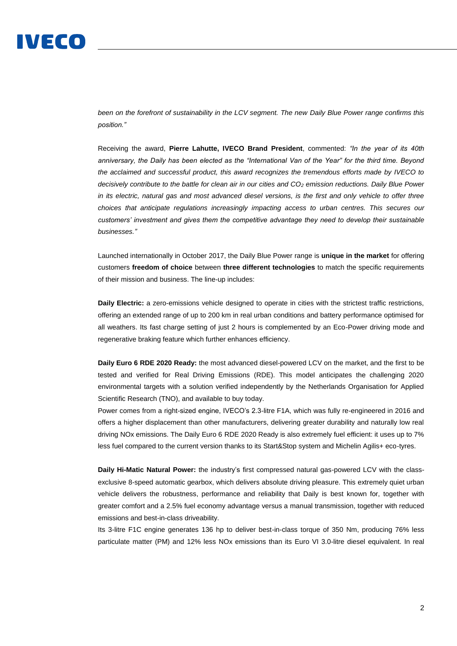## IVECO

*been on the forefront of sustainability in the LCV segment. The new Daily Blue Power range confirms this position."*

Receiving the award, **Pierre Lahutte, IVECO Brand President**, commented: *"In the year of its 40th anniversary, the Daily has been elected as the "International Van of the Year" for the third time. Beyond the acclaimed and successful product, this award recognizes the tremendous efforts made by IVECO to decisively contribute to the battle for clean air in our cities and CO<sup>2</sup> emission reductions. Daily Blue Power in its electric, natural gas and most advanced diesel versions, is the first and only vehicle to offer three choices that anticipate regulations increasingly impacting access to urban centres. This secures our customers' investment and gives them the competitive advantage they need to develop their sustainable businesses."*

Launched internationally in October 2017, the Daily Blue Power range is **unique in the market** for offering customers **freedom of choice** between **three different technologies** to match the specific requirements of their mission and business. The line-up includes:

**Daily Electric:** a zero-emissions vehicle designed to operate in cities with the strictest traffic restrictions, offering an extended range of up to 200 km in real urban conditions and battery performance optimised for all weathers. Its fast charge setting of just 2 hours is complemented by an Eco-Power driving mode and regenerative braking feature which further enhances efficiency.

**Daily Euro 6 RDE 2020 Ready:** the most advanced diesel-powered LCV on the market, and the first to be tested and verified for Real Driving Emissions (RDE). This model anticipates the challenging 2020 environmental targets with a solution verified independently by the Netherlands Organisation for Applied Scientific Research (TNO), and available to buy today.

Power comes from a right-sized engine, IVECO's 2.3-litre F1A, which was fully re-engineered in 2016 and offers a higher displacement than other manufacturers, delivering greater durability and naturally low real driving NOx emissions. The Daily Euro 6 RDE 2020 Ready is also extremely fuel efficient: it uses up to 7% less fuel compared to the current version thanks to its Start&Stop system and Michelin Agilis+ eco-tyres.

**Daily Hi-Matic Natural Power:** the industry's first compressed natural gas-powered LCV with the classexclusive 8-speed automatic gearbox, which delivers absolute driving pleasure. This extremely quiet urban vehicle delivers the robustness, performance and reliability that Daily is best known for, together with greater comfort and a 2.5% fuel economy advantage versus a manual transmission, together with reduced emissions and best-in-class driveability.

Its 3-litre F1C engine generates 136 hp to deliver best-in-class torque of 350 Nm, producing 76% less particulate matter (PM) and 12% less NOx emissions than its Euro VI 3.0-litre diesel equivalent. In real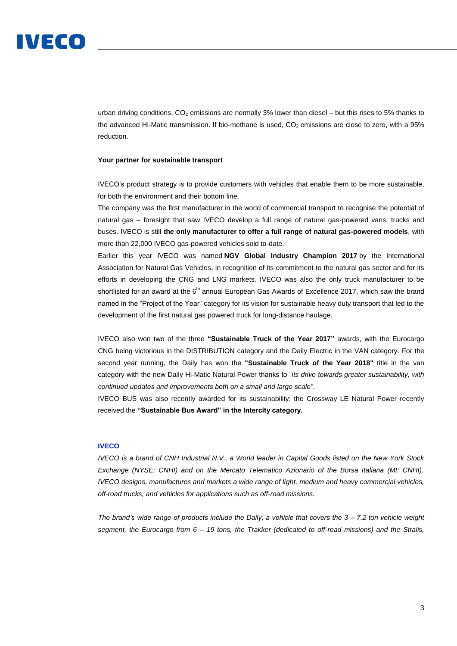urban driving conditions,  $CO<sub>2</sub>$  emissions are normally 3% lower than diesel – but this rises to 5% thanks to the advanced Hi-Matic transmission. If bio-methane is used,  $CO<sub>2</sub>$  emissions are close to zero, with a 95% reduction.

## **Your partner for sustainable transport**

IVECO's product strategy is to provide customers with vehicles that enable them to be more sustainable, for both the environment and their bottom line.

The company was the first manufacturer in the world of commercial transport to recognise the potential of natural gas – foresight that saw IVECO develop a full range of natural gas-powered vans, trucks and buses. IVECO is still **the only manufacturer to offer a full range of natural gas-powered models**, with more than 22,000 IVECO gas-powered vehicles sold to-date.

Earlier this year IVECO was named **NGV Global Industry Champion 2017** by the International Association for Natural Gas Vehicles, in recognition of its commitment to the natural gas sector and for its efforts in developing the CNG and LNG markets. IVECO was also the only truck manufacturer to be shortlisted for an award at the 6<sup>th</sup> annual European Gas Awards of Excellence 2017, which saw the brand named in the "Project of the Year" category for its vision for sustainable heavy duty transport that led to the development of the first natural gas powered truck for long-distance haulage.

IVECO also won two of the three **"Sustainable Truck of the Year 2017"** awards, with the Eurocargo CNG being victorious in the DISTRIBUTION category and the Daily Electric in the VAN category. For the second year running, the Daily has won the **"Sustainable Truck of the Year 2018"** title in the van category with the new Daily Hi-Matic Natural Power thanks to "*its drive towards greater sustainability, with continued updates and improvements both on a small and large scale"*.

IVECO BUS was also recently awarded for its sustainability: the Crossway LE Natural Power recently received the **"Sustainable Bus Award" in the Intercity category.**

## **IVECO**

*IVECO is a brand of CNH Industrial N.V., a World leader in Capital Goods listed on the New York Stock Exchange (NYSE: CNHI) and on the Mercato Telematico Azionario of the Borsa Italiana (MI: CNHI). IVECO designs, manufactures and markets a wide range of light, medium and heavy commercial vehicles, off-road trucks, and vehicles for applications such as off-road missions.* 

*The brand's wide range of products include the Daily, a vehicle that covers the 3 – 7.2 ton vehicle weight segment, the Eurocargo from 6 – 19 tons, the Trakker (dedicated to off-road missions) and the Stralis,*